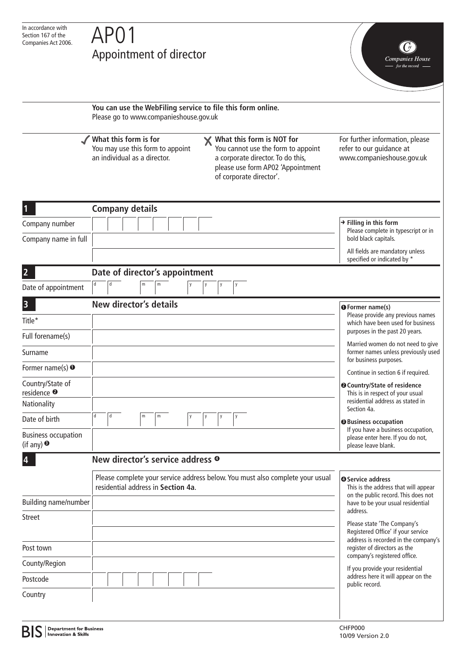# Appointment of director

Companies House

**You can use the WebFiling service to file this form online.** Please go to www.companieshouse.gov.uk **What this form is for What this form is NOT for**  $\boldsymbol{\mathsf{X}}$ For further information, please You may use this form to appoint You cannot use the form to appoint refer to our guidance at an individual as a director. a corporate director. To do this, www.companieshouse.gov.uk please use form AP02 'Appointment of corporate director'. **1 Company details Filling in this form** Company number Please complete in typescript or in Company name in full bold black capitals. All fields are mandatory unless specified or indicated by \* **2 Date of director's appointment**  Date of appointment **3 New director's details <sup>1</sup> Former name(s)** Please provide any previous names Title\* which have been used for business purposes in the past 20 years. Full forename(s) Married women do not need to give Surname former names unless previously used for business purposes. Former name(s) **1** Continue in section 6 if required. Country/State of **Country/State of residence 2** residence **2** This is in respect of your usual residential address as stated in **Nationality** Section 4a. Date of birth **Business occupation 3** If you have a business occupation, Business occupation please enter here. If you do not, (if any) **3** please leave blank. **4 New director's service address 4** Please complete your service address below. You must also complete your usual **Service address 4** This is the address that will appear residential address in **Section 4a**. on the public record. This does not Building name/number have to be your usual residential address. Street Please state 'The Company's Registered Office' if your service address is recorded in the company's Post town register of directors as the company's registered office. County/Region If you provide your residential address here it will appear on the Postcode public record. Country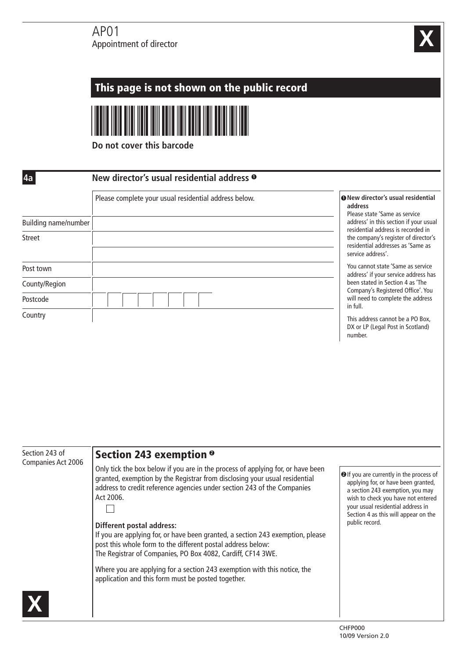# $AP<sub>01</sub>$ Appointment of director



#### This page is not shown on the public record **Do not cover this barcode 4a New director's usual residential address 1** Please complete your usual residential address below.**New director's usual residential 1 address** Please state 'Same as service Building name/number address' in this section if your usual residential address is recorded in Street the company's register of director's residential addresses as 'Same as service address'. You cannot state 'Same as service Post town address' if your service address has been stated in Section 4 as 'The County/Region Company's Registered Office'. You will need to complete the address Postcode in full. Country This address cannot be a PO Box, DX or LP (Legal Post in Scotland) number. Section 243 of Section 243 exemption **2** Companies Act 2006 Only tick the box below if you are in the process of applying for, or have been **2** If you are currently in the process of granted, exemption by the Registrar from disclosing your usual residential applying for, or have been granted, address to credit reference agencies under section 243 of the Companies a section 243 exemption, you may Act 2006. wish to check you have not entered your usual residential address in П Section 4 as this will appear on the public record. **Different postal address:** If you are applying for, or have been granted, a section 243 exemption, please post this whole form to the different postal address below: The Registrar of Companies, PO Box 4082, Cardiff, CF14 3WE. Where you are applying for a section 243 exemption with this notice, the application and this form must be posted together. **X**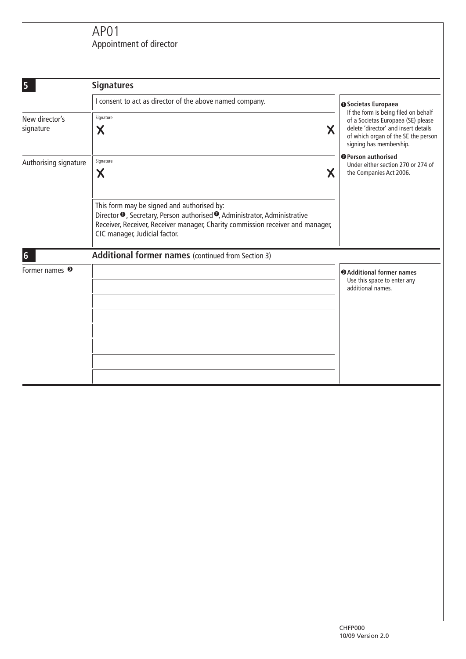# AP01 Appointment of director

| 5                           | <b>Signatures</b>                                                                                                                                                                                                                                                  |                                                                                                                                                                                                                                                                                         |
|-----------------------------|--------------------------------------------------------------------------------------------------------------------------------------------------------------------------------------------------------------------------------------------------------------------|-----------------------------------------------------------------------------------------------------------------------------------------------------------------------------------------------------------------------------------------------------------------------------------------|
|                             | I consent to act as director of the above named company.                                                                                                                                                                                                           | <b>O</b> Societas Europaea                                                                                                                                                                                                                                                              |
| New director's<br>signature | Signature<br>X<br>Χ                                                                                                                                                                                                                                                | If the form is being filed on behalf<br>of a Societas Europaea (SE) please<br>delete 'director' and insert details<br>of which organ of the SE the person<br>signing has membership.<br><sup>O</sup> Person authorised<br>Under either section 270 or 274 of<br>the Companies Act 2006. |
| Authorising signature       | Signature<br>Χ<br>Χ                                                                                                                                                                                                                                                |                                                                                                                                                                                                                                                                                         |
|                             | This form may be signed and authorised by:<br>Director <sup>O</sup> , Secretary, Person authorised <sup>O</sup> , Administrator, Administrative<br>Receiver, Receiver, Receiver manager, Charity commission receiver and manager,<br>CIC manager, Judicial factor. |                                                                                                                                                                                                                                                                                         |
| $6\phantom{1}$              | Additional former names (continued from Section 3)                                                                                                                                                                                                                 |                                                                                                                                                                                                                                                                                         |
| Former names <sup>®</sup>   |                                                                                                                                                                                                                                                                    | <b>O</b> Additional former names<br>Use this space to enter any<br>additional names.                                                                                                                                                                                                    |